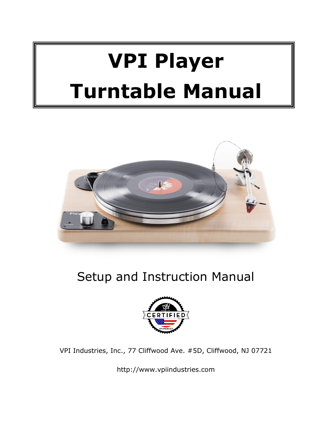# **VPI Player Turntable Manual**



## Setup and Instruction Manual



VPI Industries, Inc., 77 Cliffwood Ave. #5D, Cliffwood, NJ 07721

http://www.vpiindustries.com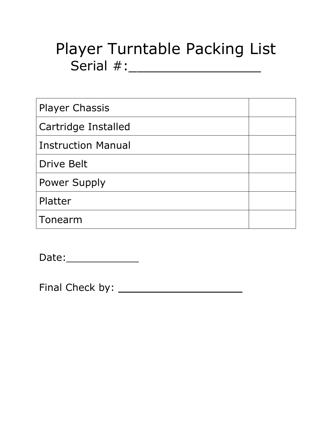# Player Turntable Packing List Serial #:\_\_\_\_\_\_\_\_\_\_\_\_\_\_\_\_

| <b>Player Chassis</b>     |  |
|---------------------------|--|
| Cartridge Installed       |  |
| <b>Instruction Manual</b> |  |
| <b>Drive Belt</b>         |  |
| <b>Power Supply</b>       |  |
| Platter                   |  |
| Tonearm                   |  |

Date: \_\_\_\_\_\_\_\_\_\_

Final Check by: \_\_\_\_\_\_\_\_\_\_\_\_\_\_\_\_\_\_\_\_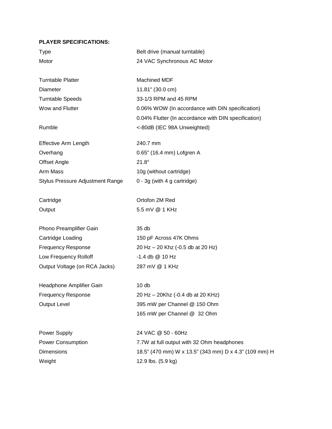**PLAYER SPECIFICATIONS:**

| <b>Type</b>                             | Belt drive (manual turntable)                         |
|-----------------------------------------|-------------------------------------------------------|
| Motor                                   | 24 VAC Synchronous AC Motor                           |
| <b>Turntable Platter</b>                | Machined MDF                                          |
| Diameter                                | 11.81" (30.0 cm)                                      |
| <b>Turntable Speeds</b>                 | 33-1/3 RPM and 45 RPM                                 |
| Wow and Flutter                         | 0.06% WOW (In accordance with DIN specification)      |
|                                         | 0.04% Flutter (In accordance with DIN specification)  |
| Rumble                                  | <-80dB (IEC 98A Unweighted)                           |
| <b>Effective Arm Length</b>             | 240.7 mm                                              |
| Overhang                                | 0.65" (16.4 mm) Lofgren A                             |
| <b>Offset Angle</b>                     | $21.8^\circ$                                          |
| Arm Mass                                | 10g (without cartridge)                               |
| <b>Stylus Pressure Adjustment Range</b> | $0 - 3g$ (with 4 g cartridge)                         |
| Cartridge                               | Ortofon 2M Red                                        |
| Output                                  | 5.5 mV @ 1 KHz                                        |
| Phono Preamplifier Gain                 | 35 db                                                 |
| Cartridge Loading                       | 150 pF Across 47K Ohms                                |
| <b>Frequency Response</b>               | 20 Hz - 20 Khz (-0.5 db at 20 Hz)                     |
| Low Frequency Rolloff                   | $-1.4$ db $@$ 10 Hz                                   |
| Output Voltage (on RCA Jacks)           | 287 mV @ 1 KHz                                        |
| Headphone Amplifier Gain                | 10 <sub>db</sub>                                      |
| <b>Frequency Response</b>               | 20 Hz - 20Khz (-0.4 db at 20 KHz)                     |
| <b>Output Level</b>                     | 395 mW per Channel @ 150 Ohm                          |
|                                         | 165 mW per Channel @ 32 Ohm                           |
| Power Supply                            | 24 VAC @ 50 - 60Hz                                    |
| <b>Power Consumption</b>                | 7.7W at full output with 32 Ohm headphones            |
| <b>Dimensions</b>                       | 18.5" (470 mm) W x 13.5" (343 mm) D x 4.3" (109 mm) H |
| Weight                                  | 12.9 lbs. (5.9 kg)                                    |
|                                         |                                                       |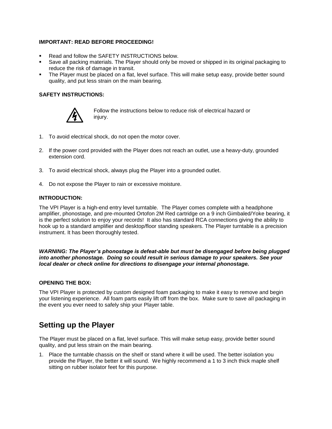#### **IMPORTANT: READ BEFORE PROCEEDING!**

- Read and follow the [SAFETY INSTRUCTIONS](#page-3-0) below.
- Save all packing materials. The Player should only be moved or shipped in its original packaging to reduce the risk of damage in transit.
- The Player must be placed on a flat, level surface. This will make setup easy, provide better sound quality, and put less strain on the main bearing.

#### <span id="page-3-0"></span>**SAFETY INSTRUCTIONS:**



Follow the instructions below to reduce risk of electrical hazard or injury.

- 1. To avoid electrical shock, do not open the motor cover.
- 2. If the power cord provided with the Player does not reach an outlet, use a heavy-duty, grounded extension cord.
- 3. To avoid electrical shock, always plug the Player into a grounded outlet.
- 4. Do not expose the Player to rain or excessive moisture.

#### **INTRODUCTION:**

The VPI Player is a high-end entry level turntable. The Player comes complete with a headphone amplifier, phonostage, and pre-mounted Ortofon 2M Red cartridge on a 9 inch Gimbaled/Yoke bearing, it is the perfect solution to enjoy your records! It also has standard RCA connections giving the ability to hook up to a standard amplifier and desktop/floor standing speakers. The Player turntable is a precision instrument. It has been thoroughly tested.

*WARNING: The Player's phonostage is defeat-able but must be disengaged before being plugged into another phonostage. Doing so could result in serious damage to your speakers. See your local dealer or check online for directions to disengage your internal phonostage.*

#### **OPENING THE BOX:**

The VPI Player is protected by custom designed foam packaging to make it easy to remove and begin your listening experience. All foam parts easily lift off from the box. Make sure to save all packaging in the event you ever need to safely ship your Player table.

### **Setting up the Player**

The Player must be placed on a flat, level surface. This will make setup easy, provide better sound quality, and put less strain on the main bearing.

1. Place the turntable chassis on the shelf or stand where it will be used. The better isolation you provide the Player, the better it will sound. We highly recommend a 1 to 3 inch thick maple shelf sitting on rubber isolator feet for this purpose.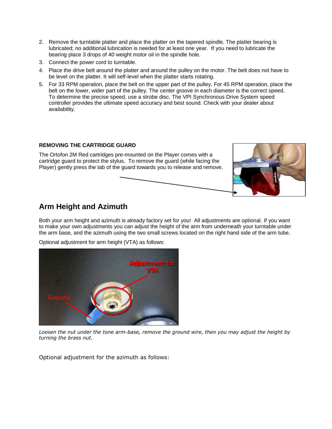- 2. Remove the turntable platter and place the platter on the tapered spindle. The platter bearing is lubricated; no additional lubrication is needed for at least one year. If you need to lubricate the bearing place 3 drops of 40 weight motor oil in the spindle hole.
- 3. Connect the power cord to turntable.
- 4. Place the drive belt around the platter and around the pulley on the motor. The belt does not have to be level on the platter. It will self-level when the platter starts rotating.
- 5. For 33 RPM operation, place the belt on the upper part of the pulley. For 45 RPM operation, place the belt on the lower, wider part of the pulley. The center groove in each diameter is the correct speed. To determine the precise speed, use a strobe disc. The VPI Synchronous Drive System speed controller provides the ultimate speed accuracy and best sound. Check with your dealer about availability.

#### **REMOVING THE CARTRIDGE GUARD**

The Ortofon 2M Red cartridges pre-mounted on the Player comes with a cartridge guard to protect the stylus. To remove the guard (while facing the Player) gently press the tab of the guard towards you to release and remove.



### **Arm Height and Azimuth**

Both your arm height and azimuth is already factory set for you! All adjustments are optional. If you want to make your own adjustments you can adjust the height of the arm from underneath your turntable under the arm base, and the azimuth using the two small screws located on the right hand side of the arm tube.

Optional adjustment for arm height (VTA) as follows:



*Loosen the nut under the tone arm-base, remove the ground wire, then you may adjust the height by turning the brass nut.* 

Optional adjustment for the azimuth as follows: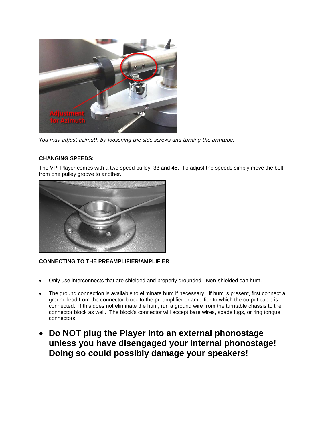

*You may adjust azimuth by loosening the side screws and turning the armtube.* 

#### **CHANGING SPEEDS:**

The VPI Player comes with a two speed pulley, 33 and 45. To adjust the speeds simply move the belt from one pulley groove to another.



#### **CONNECTING TO THE PREAMPLIFIER/AMPLIFIER**

- Only use interconnects that are shielded and properly grounded. Non-shielded can hum.
- The ground connection is available to eliminate hum if necessary. If hum is present, first connect a ground lead from the connector block to the preamplifier or amplifier to which the output cable is connected. If this does not eliminate the hum, run a ground wire from the turntable chassis to the connector block as well. The block's connector will accept bare wires, spade lugs, or ring tongue connectors.
- **Do NOT plug the Player into an external phonostage unless you have disengaged your internal phonostage! Doing so could possibly damage your speakers!**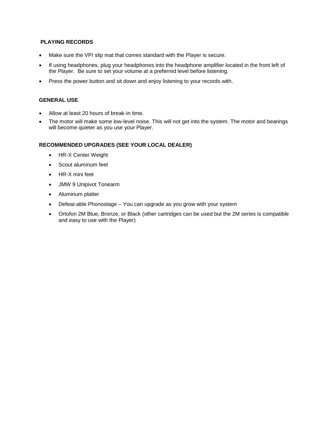#### **PLAYING RECORDS**

- Make sure the VPI slip mat that comes standard with the Player is secure.
- If using headphones, plug your headphones into the headphone amplifier located in the front left of the Player. Be sure to set your volume at a preferred level before listening.
- Press the power button and sit down and enjoy listening to your records with.

#### **GENERAL USE**

- Allow at least 20 hours of break-in time.
- The motor will make some low-level noise. This will not get into the system. The motor and bearings will become quieter as you use your Player.

#### **RECOMMENDED UPGRADES (SEE YOUR LOCAL DEALER)**

- HR-X Center Weight
- Scout aluminum feet
- HR-X mini feet
- JMW 9 Unipivot Tonearm
- Aluminum platter
- Defeat-able Phonostage You can upgrade as you grow with your system
- Ortofon 2M Blue, Bronze, or Black (other cartridges can be used but the 2M series is compatible and easy to use with the Player)